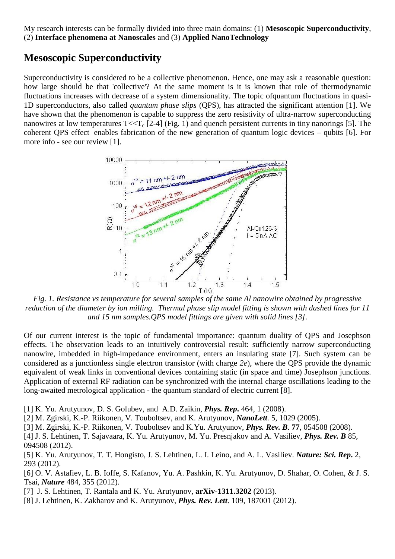My research interests can be formally divided into three main domains: (1) **Mesoscopic Superconductivity**, (2) **Interface phenomena at Nanoscales** and (3) **Applied NanoTechnology**

## **Mesoscopic Superconductivity**

Superconductivity is considered to be a collective phenomenon. Hence, one may ask a reasonable question: how large should be that 'collective'? At the same moment is it is known that role of thermodynamic fluctuations increases with decrease of a system dimensionality. The topic ofquantum fluctuations in quasi-1D superconductors, also called *quantum phase slips* (QPS), has attracted the significant attention [1]. We have shown that the phenomenon is capable to suppress the zero resistivity of ultra-narrow superconducting nanowires at low temperatures  $T \ll T_c$  [2-4] (Fig. 1) and quench persistent currents in tiny nanorings [5]. The coherent QPS effect enables fabrication of the new generation of quantum logic devices – qubits [6]. For more info - see our review [1].



*Fig. 1. Resistance vs temperature for several samples of the same Al nanowire obtained by progressive reduction of the diameter by ion milling. Thermal phase slip model fitting is shown with dashed lines for 11 and 15 nm samples.QPS model fittings are given with solid lines [3].*

Of our current interest is the topic of fundamental importance: quantum duality of QPS and Josephson effects. The observation leads to an intuitively controversial result: sufficiently narrow superconducting nanowire, imbedded in high-impedance environment, enters an insulating state [7]. Such system can be considered as a junctionless single electron transistor (with charge *2e*), where the QPS provide the dynamic equivalent of weak links in conventional devices containing static (in space and time) Josephson junctions. Application of external RF radiation can be synchronized with the internal charge oscillations leading to the long-awaited metrological application - the quantum standard of electric current [8].

[1] K. Yu. Arutyunov, D. S. Golubev, and A.D. Zaikin, *Phys. Rep***.** 464, 1 (2008).

[2] M. Zgirski, K.-P. Riikonen, V. Touboltsev, and K. Arutyunov, *NanoLett.* 5, 1029 (2005).

[3] M. Zgirski, K.-P. Riikonen, V. Touboltsev and K.Yu. Arutyunov, *Phys. Rev. B.* **77**, 054508 (2008).

[4] J. S. Lehtinen, T. Sajavaara, K. Yu. Arutyunov, M. Yu. Presnjakov and A. Vasiliev, *Phys. Rev. B* 85, 094508 (2012).

[5] K. Yu. Arutyunov, T. T. Hongisto, J. S. Lehtinen, L. I. Leino, and A. L. Vasiliev. *Nature: Sci. Rep***.** 2, 293 (2012).

[6] O. V. Astafiev, L. B. Ioffe, S. Kafanov, Yu. A. Pashkin, K. Yu. Arutyunov, D. Shahar, O. Cohen, & J. S. Tsai, *Nature* 484, 355 (2012).

[7] J. S. Lehtinen, T. Rantala and K. Yu. Arutyunov, **arXiv-1311.3202** (2013).

[8] J. Lehtinen, K. Zakharov and K. Arutyunov, *Phys. Rev. Lett*. 109, 187001 (2012).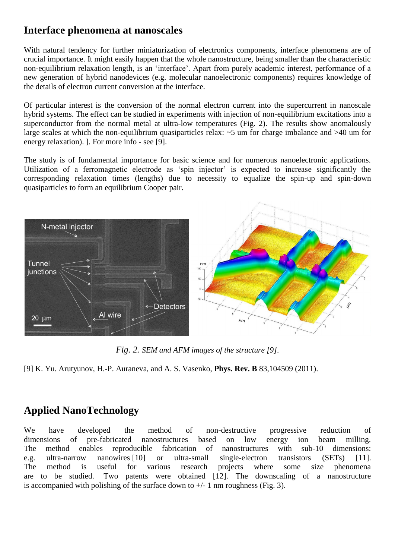## **Interface phenomena at nanoscales**

With natural tendency for further miniaturization of electronics components, interface phenomena are of crucial importance. It might easily happen that the whole nanostructure, being smaller than the characteristic non-equilibrium relaxation length, is an 'interface'. Apart from purely academic interest, performance of a new generation of hybrid nanodevices (e.g. molecular nanoelectronic components) requires knowledge of the details of electron current conversion at the interface.

Of particular interest is the conversion of the normal electron current into the supercurrent in nanoscale hybrid systems. The effect can be studied in experiments with injection of non-equilibrium excitations into a superconductor from the normal metal at ultra-low temperatures (Fig. 2). The results show anomalously large scales at which the non-equilibrium quasiparticles relax:  $\sim$ 5 um for charge imbalance and  $>$ 40 um for energy relaxation). ]. For more info - see [9].

The study is of fundamental importance for basic science and for numerous nanoelectronic applications. Utilization of a ferromagnetic electrode as 'spin injector' is expected to increase significantly the corresponding relaxation times (lengths) due to necessity to equalize the spin-up and spin-down quasiparticles to form an equilibrium Cooper pair.



*Fig. 2. SEM and AFM images of the structure [9].*

[9] K. Yu. Arutyunov, H.-P. Auraneva, and A. S. Vasenko, **Phys. Rev. B** 83,104509 (2011).

## **Applied NanoTechnology**

We have developed the method of non-destructive progressive reduction of dimensions of pre-fabricated nanostructures based on low energy ion beam milling. The method enables reproducible fabrication of nanostructures with sub-10 dimensions: e.g. ultra-narrow nanowires [10] or ultra-small single-electron transistors (SETs) [11]. The method is useful for various research projects where some size phenomena are to be studied. Two patents were obtained [12]. The downscaling of a nanostructure is accompanied with polishing of the surface down to  $+/-1$  nm roughness (Fig. 3).